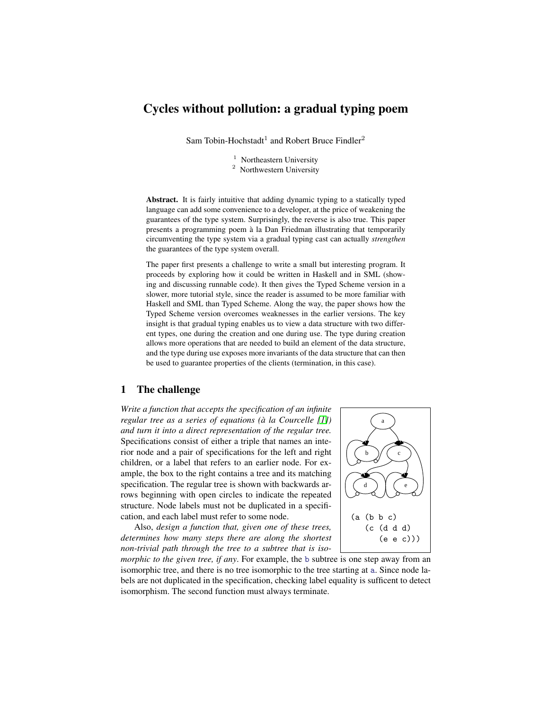# Cycles without pollution: a gradual typing poem

Sam Tobin-Hochstadt<sup>1</sup> and Robert Bruce Findler<sup>2</sup>

 $1$  Northeastern University

<sup>2</sup> Northwestern University

Abstract. It is fairly intuitive that adding dynamic typing to a statically typed language can add some convenience to a developer, at the price of weakening the guarantees of the type system. Surprisingly, the reverse is also true. This paper presents a programming poem a la Dan Friedman illustrating that temporarily ` circumventing the type system via a gradual typing cast can actually *strengthen* the guarantees of the type system overall.

The paper first presents a challenge to write a small but interesting program. It proceeds by exploring how it could be written in Haskell and in SML (showing and discussing runnable code). It then gives the Typed Scheme version in a slower, more tutorial style, since the reader is assumed to be more familiar with Haskell and SML than Typed Scheme. Along the way, the paper shows how the Typed Scheme version overcomes weaknesses in the earlier versions. The key insight is that gradual typing enables us to view a data structure with two different types, one during the creation and one during use. The type during creation allows more operations that are needed to build an element of the data structure, and the type during use exposes more invariants of the data structure that can then be used to guarantee properties of the clients (termination, in this case).

## 1 The challenge

*Write a function that accepts the specification of an infinite regular tree as a series of equations (à la Courcelle [\[1\]](#page-9-0)) and turn it into a direct representation of the regular tree.* Specifications consist of either a triple that names an interior node and a pair of specifications for the left and right children, or a label that refers to an earlier node. For example, the box to the right contains a tree and its matching specification. The regular tree is shown with backwards arrows beginning with open circles to indicate the repeated structure. Node labels must not be duplicated in a specification, and each label must refer to some node.

Also, *design a function that, given one of these trees, determines how many steps there are along the shortest non-trivial path through the tree to a subtree that is iso-*



*morphic to the given tree, if any*. For example, the b subtree is one step away from an isomorphic tree, and there is no tree isomorphic to the tree starting at a. Since node labels are not duplicated in the specification, checking label equality is sufficent to detect isomorphism. The second function must always terminate.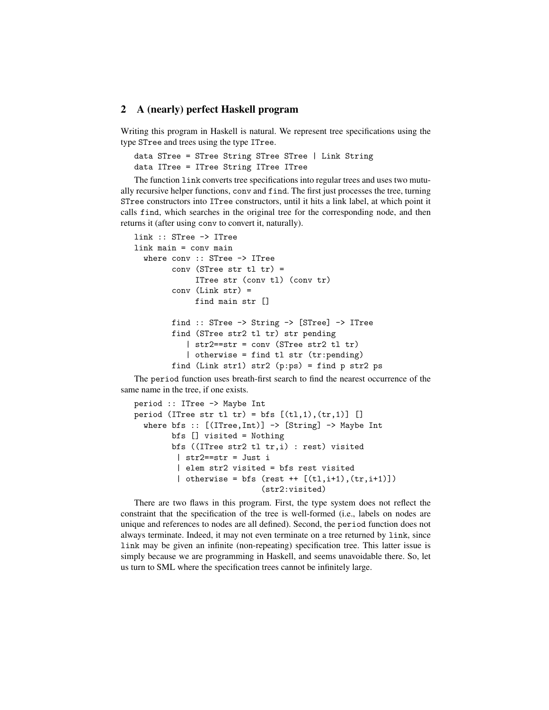## 2 A (nearly) perfect Haskell program

Writing this program in Haskell is natural. We represent tree specifications using the type STree and trees using the type ITree.

```
data STree = STree String STree STree | Link String
data ITree = ITree String ITree ITree
```
The function link converts tree specifications into regular trees and uses two mutually recursive helper functions, conv and find. The first just processes the tree, turning STree constructors into ITree constructors, until it hits a link label, at which point it calls find, which searches in the original tree for the corresponding node, and then returns it (after using conv to convert it, naturally).

```
link :: STree -> ITree
link main = conv main
  where conv :: STree -> ITree
        conv (STree str tl tr) =
             ITree str (conv tl) (conv tr)
        conv (Link str) =
             find main str []
        find :: STree -> String -> [STree] -> ITree
        find (STree str2 tl tr) str pending
           | str2==str = conv (STree str2 tl tr)
           | otherwise = find tl str (tr:pending)
        find (Link str1) str2 (p:ps) = find p str2 ps
```
The period function uses breath-first search to find the nearest occurrence of the same name in the tree, if one exists.

```
period :: ITree -> Maybe Int
period (ITree str tl tr) = bfs [(t1,1), (tr,1)] []
  where bfs :: [(ITree, Int)] \rightarrow [String] \rightarrow Maybe Intbfs [] visited = Nothing
        bfs ((ITree str2 tl tr,i) : rest) visited
         | str2==str = Just i
         | elem str2 visited = bfs rest visited
          | otherwise = bfs (rest ++ [(t], i+1), (tr, i+1)])
                             (str2:visited)
```
There are two flaws in this program. First, the type system does not reflect the constraint that the specification of the tree is well-formed (i.e., labels on nodes are unique and references to nodes are all defined). Second, the period function does not always terminate. Indeed, it may not even terminate on a tree returned by link, since link may be given an infinite (non-repeating) specification tree. This latter issue is simply because we are programming in Haskell, and seems unavoidable there. So, let us turn to SML where the specification trees cannot be infinitely large.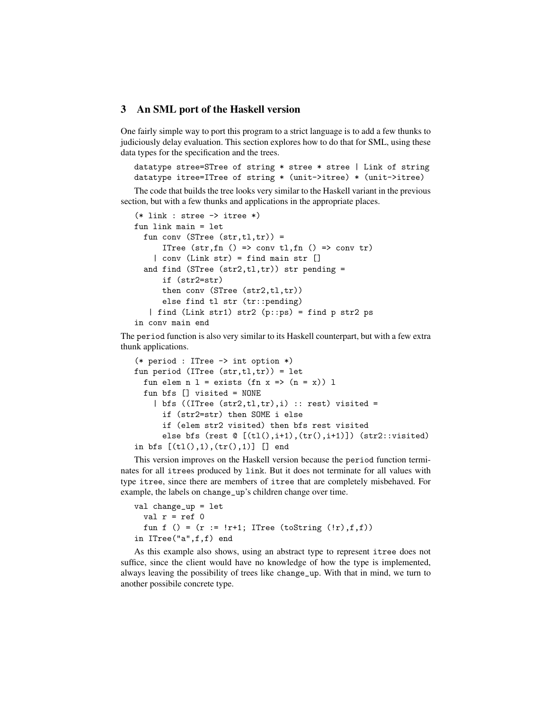#### 3 An SML port of the Haskell version

One fairly simple way to port this program to a strict language is to add a few thunks to judiciously delay evaluation. This section explores how to do that for SML, using these data types for the specification and the trees.

```
datatype stree=STree of string * stree * stree | Link of string
datatype itree=ITree of string * (unit->itree) * (unit->itree)
```
The code that builds the tree looks very similar to the Haskell variant in the previous section, but with a few thunks and applications in the appropriate places.

```
(*) link : stree \rightarrow itree *)fun link main = let
  fun conv (STree (str,tl,tr)) =ITree (str, fn() \Rightarrow convtl, fn() \Rightarrow convtr)| conv (Link str) = find main str []
  and find (STree (str2, t1, tr)) str pending =
      if (str2=str)
      then conv (STree (str2,t1,tr))
      else find tl str (tr::pending)
   | find (Link str1) str2 (p::ps) = find p str2 psin conv main end
```
The period function is also very similar to its Haskell counterpart, but with a few extra thunk applications.

```
(* period : ITree -> int option *)
fun period (ITree (str, t1, tr)) = let
  fun elem n 1 = exists (fn x => (n = x)) 1
  fun bfs [] visited = NONE
    | bfs ((\text{Three } (\text{str2}, \text{tl}, \text{tr}), i) :: \text{rest}) visited =
      if (str2=str) then SOME i else
      if (elem str2 visited) then bfs rest visited
      else bfs (rest O([tl(),i+1),(tr(),i+1)]) (str2::visited)
in bfs [(t1(),1),(tr(),1)] [] end
```
This version improves on the Haskell version because the period function terminates for all itrees produced by link. But it does not terminate for all values with type itree, since there are members of itree that are completely misbehaved. For example, the labels on change\_up's children change over time.

```
val change_up = let
  val r = ref 0fun f () = (r := !r+1; ITree (toString (!r), f, f))
in ITree("a",f,f) end
```
As this example also shows, using an abstract type to represent itree does not suffice, since the client would have no knowledge of how the type is implemented, always leaving the possibility of trees like change\_up. With that in mind, we turn to another possibile concrete type.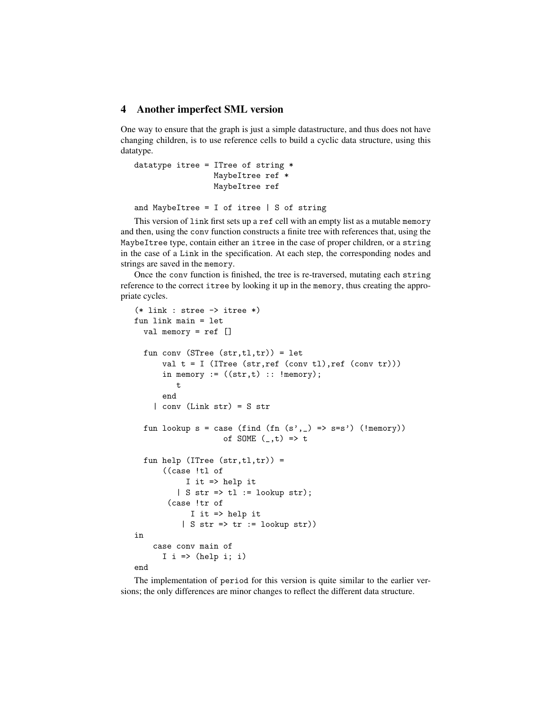## 4 Another imperfect SML version

One way to ensure that the graph is just a simple datastructure, and thus does not have changing children, is to use reference cells to build a cyclic data structure, using this datatype.

```
datatype itree = ITree of string *MaybeItree ref *
                 MaybeItree ref
```
and MaybeItree = I of itree  $|$  S of string

This version of link first sets up a ref cell with an empty list as a mutable memory and then, using the conv function constructs a finite tree with references that, using the MaybeItree type, contain either an itree in the case of proper children, or a string in the case of a Link in the specification. At each step, the corresponding nodes and strings are saved in the memory.

Once the conv function is finished, the tree is re-traversed, mutating each string reference to the correct itree by looking it up in the memory, thus creating the appropriate cycles.

```
(*) link : stree \rightarrow itree *)fun link main = let
  val memory = ref []
  fun conv (STree (str, t1, tr)) = let
      val t = I (ITree (str, ref (conv tl), ref (conv tr)))
      in memory := ((str, t) :: !memory);t
      end
    | conv (Link str) = S str
  fun lookup s = case (find (fn (s',)) = > s=s') (!memory))of SOME (,t) => t
  fun help (ITree (str,tl,tr)) =((case !tl of
           I it => help it
         | S str => tl := lookup str);
       (case !tr of
            I it => help it
          | S str => tr := lookup str))
in
    case conv main of
      I i => (help i; i)
end
```
The implementation of period for this version is quite similar to the earlier versions; the only differences are minor changes to reflect the different data structure.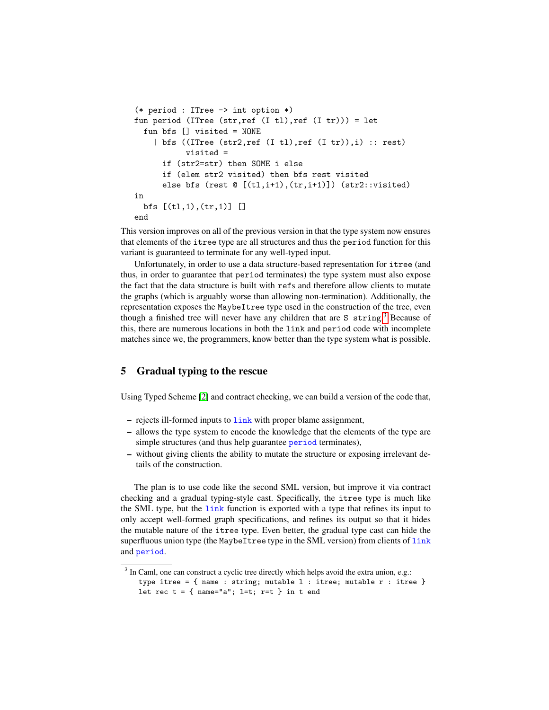```
(* period : ITree -> int option *)
fun period (ITree (str, ref (I t_l), ref (I t r_l)) = letfun bfs [] visited = NONE
    | bfs ((ITree (str2,ref (I tl),ref (I tr)),i) :: rest)
           visited =
      if (str2=str) then SOME i else
      if (elem str2 visited) then bfs rest visited
      else bfs (rest \mathbb{O}[(t1,i+1),(tr,i+1)]) (str2::visited)
in
  bfs [(tl,1),(tr,1)] []
end
```
This version improves on all of the previous version in that the type system now ensures that elements of the itree type are all structures and thus the period function for this variant is guaranteed to terminate for any well-typed input.

Unfortunately, in order to use a data structure-based representation for itree (and thus, in order to guarantee that period terminates) the type system must also expose the fact that the data structure is built with refs and therefore allow clients to mutate the graphs (which is arguably worse than allowing non-termination). Additionally, the representation exposes the MaybeItree type used in the construction of the tree, even though a finished tree will never have any children that are S string.<sup>[3](#page-4-0)</sup> Because of this, there are numerous locations in both the link and period code with incomplete matches since we, the programmers, know better than the type system what is possible.

## 5 Gradual typing to the rescue

Using Typed Scheme [\[2\]](#page-9-1) and contract checking, we can build a version of the code that,

- $-$  rejects ill-formed inputs to  $\frac{1 \text{ink}}{1 \text{mk}}$  with proper blame assignment,
- allows the type system to encode the knowledge that the elements of the type are simple structures (and thus help guarantee period terminates),
- without giving clients the ability to mutate the structure or exposing irrelevant details of the construction.

The plan is to use code like the second SML version, but improve it via contract checking and a gradual typing-style cast. Specifically, the itree type is much like the SML type, but the link function is exported with a type that refines its input to only accept well-formed graph specifications, and refines its output so that it hides the mutable nature of the itree type. Even better, the gradual type cast can hide the superfluous union type (the MaybeItree type in the SML version) from clients of link and period.

<span id="page-4-0"></span><sup>&</sup>lt;sup>3</sup> In Caml, one can construct a cyclic tree directly which helps avoid the extra union, e.g.: type itree = { name : string; mutable l : itree; mutable r : itree } let rec  $t = \{ name="a"; l=t; r=t \}$  in  $t end$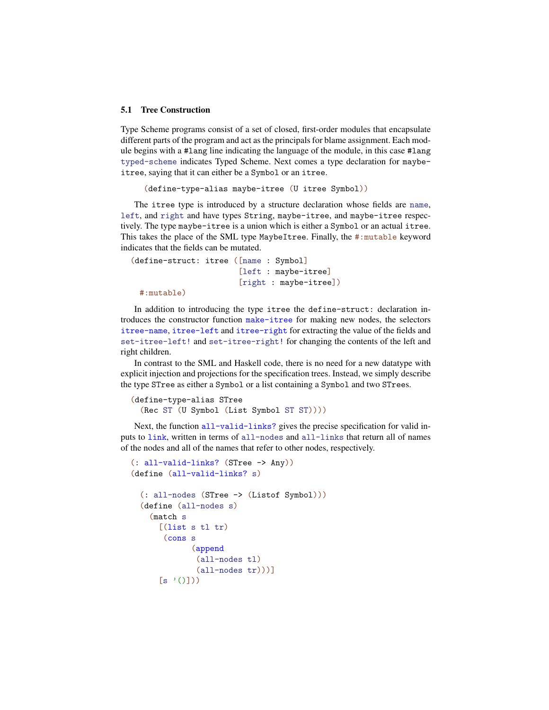#### 5.1 Tree Construction

Type Scheme programs consist of a set of closed, first-order modules that encapsulate different parts of the program and act as the principals for blame assignment. Each module begins with a #lang line indicating the language of the module, in this case #lang typed-scheme indicates Typed Scheme. Next comes a type declaration for maybeitree, saying that it can either be a Symbol or an itree.

(define-type-alias maybe-itree (U itree Symbol))

The itree type is introduced by a structure declaration whose fields are name, left, and right and have types String, maybe-itree, and maybe-itree respectively. The type maybe-itree is a union which is either a Symbol or an actual itree. This takes the place of the SML type MaybeItree. Finally, the #:mutable keyword indicates that the fields can be mutated.

(define-struct: itree ([name : Symbol] [left : maybe-itree] [right : maybe-itree])

#:mutable)

In addition to introducing the type itree the define-struct: declaration introduces the constructor function make-itree for making new nodes, the selectors itree-name, itree-left and itree-right for extracting the value of the fields and set-itree-left! and set-itree-right! for changing the contents of the left and right children.

In contrast to the SML and Haskell code, there is no need for a new datatype with explicit injection and projections for the specification trees. Instead, we simply describe the type STree as either a Symbol or a list containing a Symbol and two STrees.

```
(define-type-alias STree
  (Rec ST (U Symbol (List Symbol ST ST))))
```
Next, the function all-valid-links? gives the precise specification for valid inputs to link, written in terms of all-nodes and all-links that return all of names of the nodes and all of the names that refer to other nodes, respectively.

```
(: all-valid-links? (STree -> Any))
(define (all-valid-links? s)
  (: all-nodes (STree -> (Listof Symbol)))
  (define (all-nodes s)
    (match s
      [(\text{list s tl tr})(cons s
              (append
              (all-nodes tl)
              (all-nodes tr)))]
      [s'(\cdot)]
```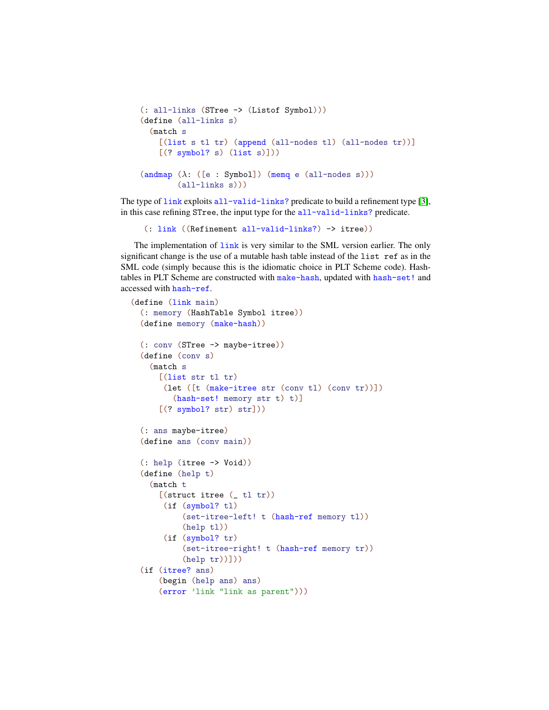```
(: all-links (STree -> (Listof Symbol)))
(define (all-links s)
  (match s
    [(list s tl tr) (append (all-nodes tl) (all-nodes tr))]
    [(? symbol? s) (list s)]))
(\text{andmap } (\lambda: ([e : Symbol]) \text{ (memq } e \text{ (all-nodes s)}))(all-links s)))
```
The type of  $\frac{1}{nk}$  exploits all-valid-links? predicate to build a refinement type [\[3\]](#page-9-2), in this case refining STree, the input type for the all-valid-links? predicate.

```
(: link ((Refinement all-valid-links?) -> itree))
```
The implementation of  $\frac{\text{link}}{\text{link}}$  is very similar to the SML version earlier. The only significant change is the use of a mutable hash table instead of the list ref as in the SML code (simply because this is the idiomatic choice in PLT Scheme code). Hashtables in PLT Scheme are constructed with make-hash, updated with hash-set! and accessed with hash-ref.

```
(define (link main)
 (: memory (HashTable Symbol itree))
 (define memory (make-hash))
 (: conv (STree -> maybe-itree))
 (define (conv s)
    (match s
      [(list str t1 tr)](let ([t (make-itree str (conv tl) (conv tr))])
         (hash-set! memory str t) t)]
      [(? symbol? str) str]))
 (: ans maybe-itree)
 (define ans (conv main))
 (: help (itree -> Void))
 (define (help t)
    (match t
      [(struct itree (  t1 tr))](if (symbol? tl)
           (set-itree-left! t (hash-ref memory tl))
           (help tl))
       (if (symbol? tr)
           (set-itree-right! t (hash-ref memory tr))
           (help tr))))
 (if (itree? ans)
      (begin (help ans) ans)
      (error 'link "link as parent")))
```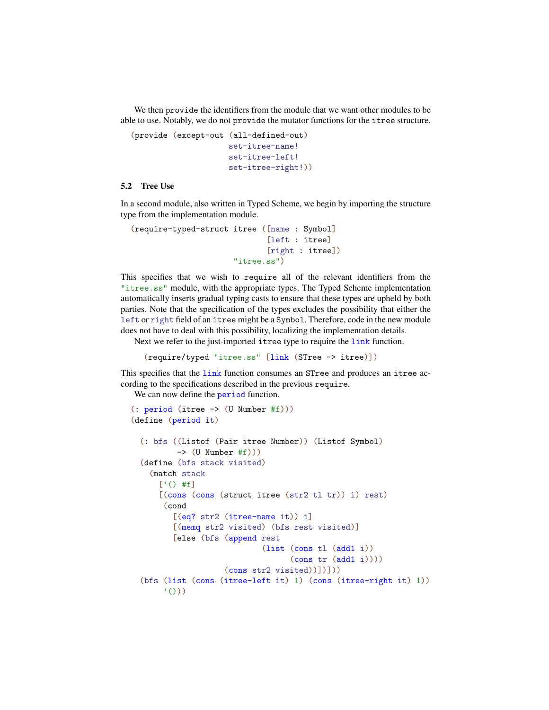We then provide the identifiers from the module that we want other modules to be able to use. Notably, we do not provide the mutator functions for the itree structure.

```
(provide (except-out (all-defined-out)
                     set-itree-name!
                     set-itree-left!
                     set-itree-right!))
```
#### 5.2 Tree Use

In a second module, also written in Typed Scheme, we begin by importing the structure type from the implementation module.

```
(require-typed-struct itree ([name : Symbol]
                              [left : itree]
                              [right : itree])
                      "itree.ss")
```
This specifies that we wish to require all of the relevant identifiers from the "itree.ss" module, with the appropriate types. The Typed Scheme implementation automatically inserts gradual typing casts to ensure that these types are upheld by both parties. Note that the specification of the types excludes the possibility that either the left or right field of an itree might be a Symbol. Therefore, code in the new module does not have to deal with this possibility, localizing the implementation details.

Next we refer to the just-imported itree type to require the link function.

```
(require/typed "itree.ss" [link (STree -> itree)])
```
This specifies that the link function consumes an STree and produces an itree according to the specifications described in the previous require.

We can now define the **period** function.

```
(: period (itree -> (U Number #f)))
(define (period it)
  (: bfs ((Listof (Pair itree Number)) (Listof Symbol)
           \rightarrow (U Number #f)))
  (define (bfs stack visited)
    (match stack
      [\cdot] () #f]
      [(\text{cons} (\text{cons} (\text{struct} \text{itre} (\text{str2 t1 tr}))) i) \text{rest})(cond
          [(eq? str2 (itree-name it)) i]
          [(memq str2 visited) (bfs rest visited)]
          [else (bfs (append rest
                                (list (cons tl (add1 i))
                                       (cons tr (add1 i))))(cons str2 visited))])]))
  (bfs (list (cons (itree-left it) 1) (cons (itree-right it) 1))
       '()))
```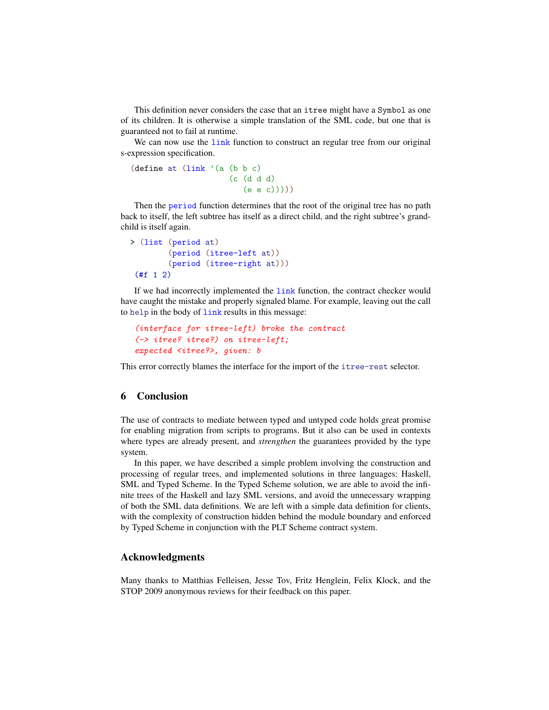This definition never considers the case that an itree might have a Symbol as one of its children. It is otherwise a simple translation of the SML code, but one that is guaranteed not to fail at runtime.

We can now use the link function to construct an regular tree from our original s-expression specification.

```
(define at (\text{link }') (a (b b c)
                         (c (d d d)
                             (e e c)))))
```
Then the period function determines that the root of the original tree has no path back to itself, the left subtree has itself as a direct child, and the right subtree's grandchild is itself again.

```
> (list (period at)
        (period (itree-left at))
        (period (itree-right at)))
 (fff 1 2)
```
If we had incorrectly implemented the link function, the contract checker would have caught the mistake and properly signaled blame. For example, leaving out the call to help in the body of link results in this message:

```
(interface for itree-left) broke the contract
(-> itree? itree?) on itree-left;
expected <itree?>, given: b
```
This error correctly blames the interface for the import of the itree-rest selector.

## 6 Conclusion

The use of contracts to mediate between typed and untyped code holds great promise for enabling migration from scripts to programs. But it also can be used in contexts where types are already present, and *strengthen* the guarantees provided by the type system.

In this paper, we have described a simple problem involving the construction and processing of regular trees, and implemented solutions in three languages: Haskell, SML and Typed Scheme. In the Typed Scheme solution, we are able to avoid the infinite trees of the Haskell and lazy SML versions, and avoid the unnecessary wrapping of both the SML data definitions. We are left with a simple data definition for clients, with the complexity of construction hidden behind the module boundary and enforced by Typed Scheme in conjunction with the PLT Scheme contract system.

## Acknowledgments

Many thanks to Matthias Felleisen, Jesse Tov, Fritz Henglein, Felix Klock, and the STOP 2009 anonymous reviews for their feedback on this paper.